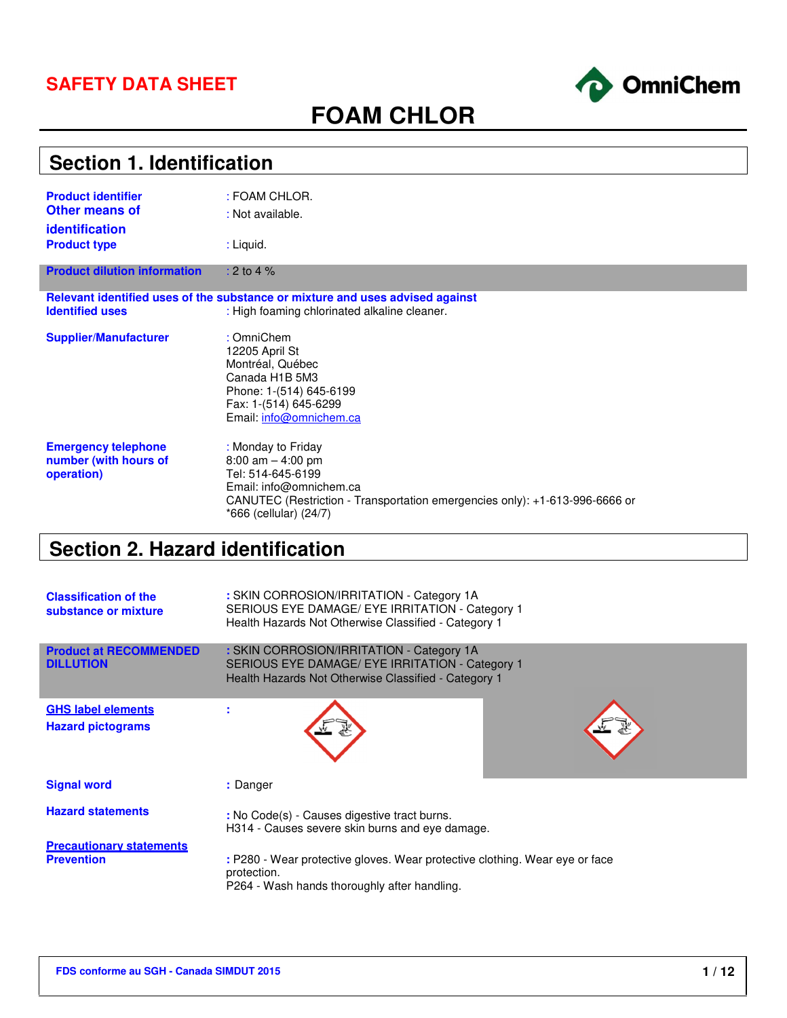### **SAFETY DATA SHEET**



# **FOAM CHLOR**

| <b>Section 1. Identification</b>                                     |                                                                                                                                                                                                     |  |  |  |
|----------------------------------------------------------------------|-----------------------------------------------------------------------------------------------------------------------------------------------------------------------------------------------------|--|--|--|
| <b>Product identifier</b><br><b>Other means of</b><br>identification | : FOAM CHLOR.<br>: Not available.                                                                                                                                                                   |  |  |  |
| <b>Product type</b>                                                  | : Liquid.                                                                                                                                                                                           |  |  |  |
| <b>Product dilution information</b>                                  | : 2 to 4 $%$                                                                                                                                                                                        |  |  |  |
|                                                                      | Relevant identified uses of the substance or mixture and uses advised against                                                                                                                       |  |  |  |
| <b>Identified uses</b>                                               | : High foaming chlorinated alkaline cleaner.                                                                                                                                                        |  |  |  |
| <b>Supplier/Manufacturer</b>                                         | : OmniChem<br>12205 April St<br>Montréal, Québec<br>Canada H1B 5M3<br>Phone: 1-(514) 645-6199<br>Fax: 1-(514) 645-6299<br>Email: info@omnichem.ca                                                   |  |  |  |
| <b>Emergency telephone</b><br>number (with hours of<br>operation)    | : Monday to Friday<br>$8:00$ am $-4:00$ pm<br>Tel: 514-645-6199<br>Email: info@omnichem.ca<br>CANUTEC (Restriction - Transportation emergencies only): +1-613-996-6666 or<br>*666 (cellular) (24/7) |  |  |  |

# **Section 2. Hazard identification**

| <b>Classification of the</b><br>substance or mixture  | : SKIN CORROSION/IRRITATION - Category 1A<br>SERIOUS EYE DAMAGE/ EYE IRRITATION - Category 1<br>Health Hazards Not Otherwise Classified - Category 1 |
|-------------------------------------------------------|------------------------------------------------------------------------------------------------------------------------------------------------------|
| <b>Product at RECOMMENDED</b><br><b>DILLUTION</b>     | : SKIN CORROSION/IRRITATION - Category 1A<br>SERIOUS EYE DAMAGE/ EYE IRRITATION - Category 1<br>Health Hazards Not Otherwise Classified - Category 1 |
| <b>GHS label elements</b><br><b>Hazard pictograms</b> |                                                                                                                                                      |
| <b>Signal word</b>                                    | : Danger                                                                                                                                             |
| <b>Hazard statements</b>                              | : No Code(s) - Causes digestive tract burns.<br>H314 - Causes severe skin burns and eye damage.                                                      |
| <b>Precautionary statements</b><br><b>Prevention</b>  | : P280 - Wear protective gloves. Wear protective clothing. Wear eye or face<br>protection.<br>P264 - Wash hands thoroughly after handling.           |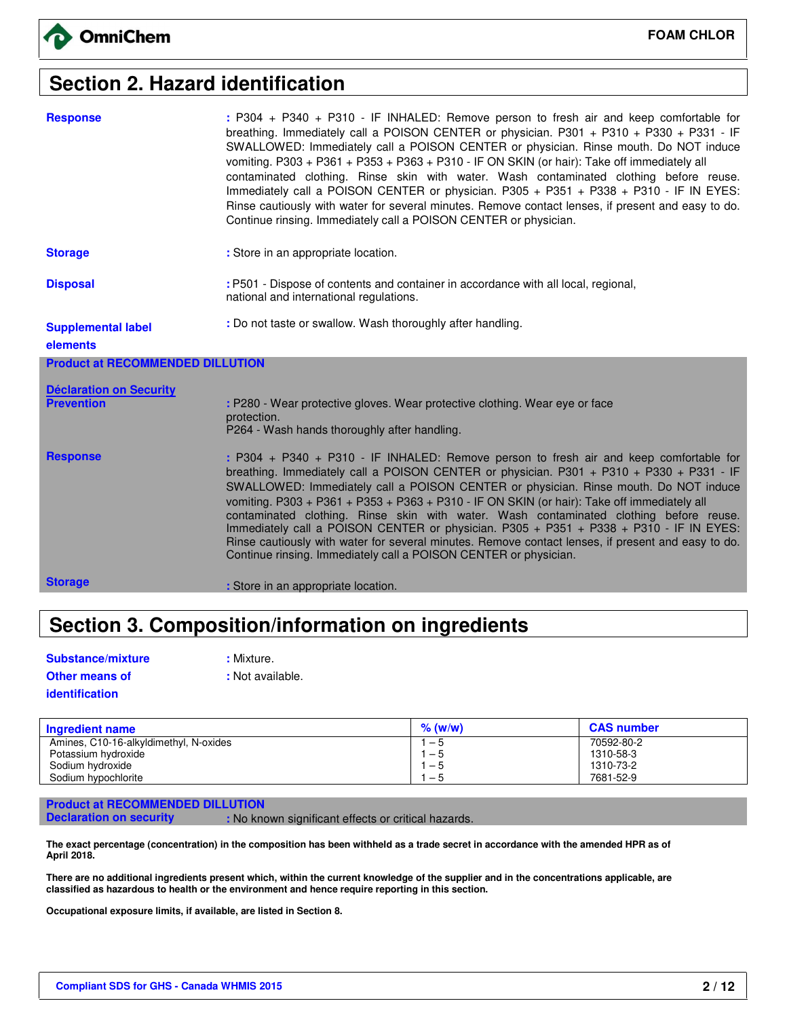# **Section 2. Hazard identification**

| <b>Response</b>                                     | : P304 + P340 + P310 - IF INHALED: Remove person to fresh air and keep comfortable for<br>breathing. Immediately call a POISON CENTER or physician. P301 + P310 + P330 + P331 - IF<br>SWALLOWED: Immediately call a POISON CENTER or physician. Rinse mouth. Do NOT induce<br>vomiting. P303 + P361 + P353 + P363 + P310 - IF ON SKIN (or hair): Take off immediately all<br>contaminated clothing. Rinse skin with water. Wash contaminated clothing before reuse.<br>Immediately call a POISON CENTER or physician. P305 + P351 + P338 + P310 - IF IN EYES:<br>Rinse cautiously with water for several minutes. Remove contact lenses, if present and easy to do.<br>Continue rinsing. Immediately call a POISON CENTER or physician. |
|-----------------------------------------------------|-----------------------------------------------------------------------------------------------------------------------------------------------------------------------------------------------------------------------------------------------------------------------------------------------------------------------------------------------------------------------------------------------------------------------------------------------------------------------------------------------------------------------------------------------------------------------------------------------------------------------------------------------------------------------------------------------------------------------------------------|
| <b>Storage</b>                                      | : Store in an appropriate location.                                                                                                                                                                                                                                                                                                                                                                                                                                                                                                                                                                                                                                                                                                     |
| <b>Disposal</b>                                     | : P501 - Dispose of contents and container in accordance with all local, regional,<br>national and international regulations.                                                                                                                                                                                                                                                                                                                                                                                                                                                                                                                                                                                                           |
| <b>Supplemental label</b>                           | : Do not taste or swallow. Wash thoroughly after handling.                                                                                                                                                                                                                                                                                                                                                                                                                                                                                                                                                                                                                                                                              |
| elements                                            |                                                                                                                                                                                                                                                                                                                                                                                                                                                                                                                                                                                                                                                                                                                                         |
| <b>Product at RECOMMENDED DILLUTION</b>             |                                                                                                                                                                                                                                                                                                                                                                                                                                                                                                                                                                                                                                                                                                                                         |
| <b>Déclaration on Security</b><br><b>Prevention</b> | : P280 - Wear protective gloves. Wear protective clothing. Wear eye or face<br>protection.<br>P264 - Wash hands thoroughly after handling.                                                                                                                                                                                                                                                                                                                                                                                                                                                                                                                                                                                              |
| <b>Response</b>                                     | : P304 + P340 + P310 - IF INHALED: Remove person to fresh air and keep comfortable for<br>breathing. Immediately call a POISON CENTER or physician. P301 + P310 + P330 + P331 - IF<br>SWALLOWED: Immediately call a POISON CENTER or physician. Rinse mouth. Do NOT induce<br>vomiting. P303 + P361 + P353 + P363 + P310 - IF ON SKIN (or hair): Take off immediately all<br>contaminated clothing. Rinse skin with water. Wash contaminated clothing before reuse.<br>Immediately call a POISON CENTER or physician. P305 + P351 + P338 + P310 - IF IN EYES:<br>Rinse cautiously with water for several minutes. Remove contact lenses, if present and easy to do.<br>Continue rinsing. Immediately call a POISON CENTER or physician. |
|                                                     |                                                                                                                                                                                                                                                                                                                                                                                                                                                                                                                                                                                                                                                                                                                                         |

# **Section 3. Composition/information on ingredients**

**: Mixture.** 

**:** Not available.

| Substance/mixture     |
|-----------------------|
| <b>Other means of</b> |
| identification        |

**Ingredient name % (w/w) CAS number** Amines, C10-16-alkyldimethyl, N-oxides Potassium hydroxide Sodium hydroxide Sodium hypochlorite  $1 - 5$  $1 - 5$  $1 - 5$  $1 - 5$ 70592-80-2 1310-58-3 1310-73-2 7681-52-9

**Product at RECOMMENDED DILLUTION**

**Declaration on security : No known significant effects or critical hazards.** 

**The exact percentage (concentration) in the composition has been withheld as a trade secret in accordance with the amended HPR as of April 2018.** 

**There are no additional ingredients present which, within the current knowledge of the supplier and in the concentrations applicable, are classified as hazardous to health or the environment and hence require reporting in this section.** 

**Occupational exposure limits, if available, are listed in Section 8.**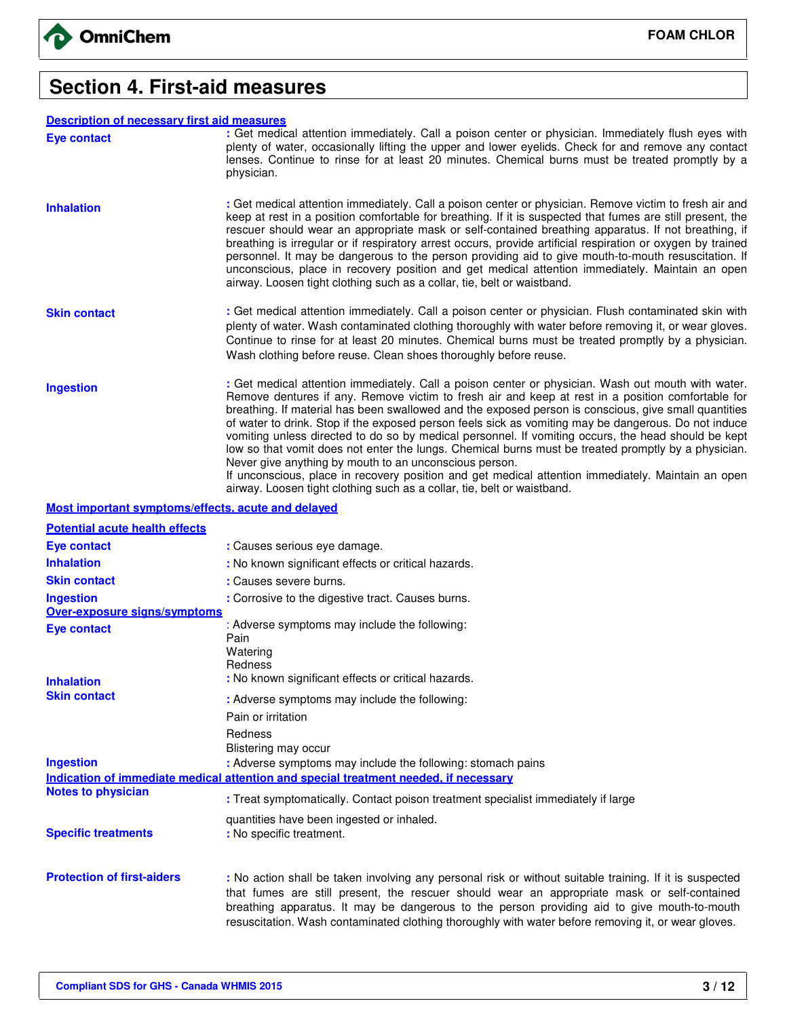

### **Section 4. First-aid measures**

### **Description of necessary first aid measures**

| <b>Description of necessary first aid measures</b> |                                                                                                                                                                                                                                                                                                                                                                                                                                                                                                                                                                                                                                                                                                                                 |
|----------------------------------------------------|---------------------------------------------------------------------------------------------------------------------------------------------------------------------------------------------------------------------------------------------------------------------------------------------------------------------------------------------------------------------------------------------------------------------------------------------------------------------------------------------------------------------------------------------------------------------------------------------------------------------------------------------------------------------------------------------------------------------------------|
| Eye contact                                        | : Get medical attention immediately. Call a poison center or physician. Immediately flush eyes with<br>plenty of water, occasionally lifting the upper and lower eyelids. Check for and remove any contact<br>lenses. Continue to rinse for at least 20 minutes. Chemical burns must be treated promptly by a<br>physician.                                                                                                                                                                                                                                                                                                                                                                                                     |
| <b>Inhalation</b>                                  | : Get medical attention immediately. Call a poison center or physician. Remove victim to fresh air and<br>keep at rest in a position comfortable for breathing. If it is suspected that fumes are still present, the<br>rescuer should wear an appropriate mask or self-contained breathing apparatus. If not breathing, if<br>breathing is irregular or if respiratory arrest occurs, provide artificial respiration or oxygen by trained<br>personnel. It may be dangerous to the person providing aid to give mouth-to-mouth resuscitation. If<br>unconscious, place in recovery position and get medical attention immediately. Maintain an open<br>airway. Loosen tight clothing such as a collar, tie, belt or waistband. |
| <b>Skin contact</b>                                | : Get medical attention immediately. Call a poison center or physician. Flush contaminated skin with<br>plenty of water. Wash contaminated clothing thoroughly with water before removing it, or wear gloves.<br>Continue to rinse for at least 20 minutes. Chemical burns must be treated promptly by a physician.<br>Wash clothing before reuse. Clean shoes thoroughly before reuse.                                                                                                                                                                                                                                                                                                                                         |
| <b>Ingestion</b>                                   | : Get medical attention immediately. Call a poison center or physician. Wash out mouth with water.                                                                                                                                                                                                                                                                                                                                                                                                                                                                                                                                                                                                                              |

Ingestion **in the Commun Commediately.** Call a poison center or physician. Wash out mouth with water.<br>Remove dentures if any. Remove victim to fresh air and keep at rest in a position comfortable for breathing. If material has been swallowed and the exposed person is conscious, give small quantities of water to drink. Stop if the exposed person feels sick as vomiting may be dangerous. Do not induce vomiting unless directed to do so by medical personnel. If vomiting occurs, the head should be kept low so that vomit does not enter the lungs. Chemical burns must be treated promptly by a physician. Never give anything by mouth to an unconscious person.

If unconscious, place in recovery position and get medical attention immediately. Maintain an open airway. Loosen tight clothing such as a collar, tie, belt or waistband.

### **Most important symptoms/effects, acute and delayed**

| <b>Potential acute health effects</b> |                                                                                                                                                                                                                                                                                                                                                                                                              |
|---------------------------------------|--------------------------------------------------------------------------------------------------------------------------------------------------------------------------------------------------------------------------------------------------------------------------------------------------------------------------------------------------------------------------------------------------------------|
| <b>Eve contact</b>                    | : Causes serious eve damage.                                                                                                                                                                                                                                                                                                                                                                                 |
| <b>Inhalation</b>                     | : No known significant effects or critical hazards.                                                                                                                                                                                                                                                                                                                                                          |
| <b>Skin contact</b>                   | : Causes severe burns.                                                                                                                                                                                                                                                                                                                                                                                       |
| <b>Ingestion</b>                      | : Corrosive to the digestive tract. Causes burns.                                                                                                                                                                                                                                                                                                                                                            |
| <b>Over-exposure signs/symptoms</b>   |                                                                                                                                                                                                                                                                                                                                                                                                              |
| Eye contact                           | : Adverse symptoms may include the following:<br>Pain                                                                                                                                                                                                                                                                                                                                                        |
| <b>Inhalation</b>                     | Watering<br>Redness<br>: No known significant effects or critical hazards.                                                                                                                                                                                                                                                                                                                                   |
| <b>Skin contact</b>                   | : Adverse symptoms may include the following:                                                                                                                                                                                                                                                                                                                                                                |
|                                       | Pain or irritation                                                                                                                                                                                                                                                                                                                                                                                           |
| <b>Ingestion</b>                      | Redness<br>Blistering may occur<br>: Adverse symptoms may include the following: stomach pains                                                                                                                                                                                                                                                                                                               |
|                                       | Indication of immediate medical attention and special treatment needed, if necessary                                                                                                                                                                                                                                                                                                                         |
| <b>Notes to physician</b>             | : Treat symptomatically. Contact poison treatment specialist immediately if large                                                                                                                                                                                                                                                                                                                            |
| <b>Specific treatments</b>            | quantities have been ingested or inhaled.<br>: No specific treatment.                                                                                                                                                                                                                                                                                                                                        |
| <b>Protection of first-aiders</b>     | : No action shall be taken involving any personal risk or without suitable training. If it is suspected<br>that fumes are still present, the rescuer should wear an appropriate mask or self-contained<br>breathing apparatus. It may be dangerous to the person providing aid to give mouth-to-mouth<br>resuscitation. Wash contaminated clothing thoroughly with water before removing it, or wear gloves. |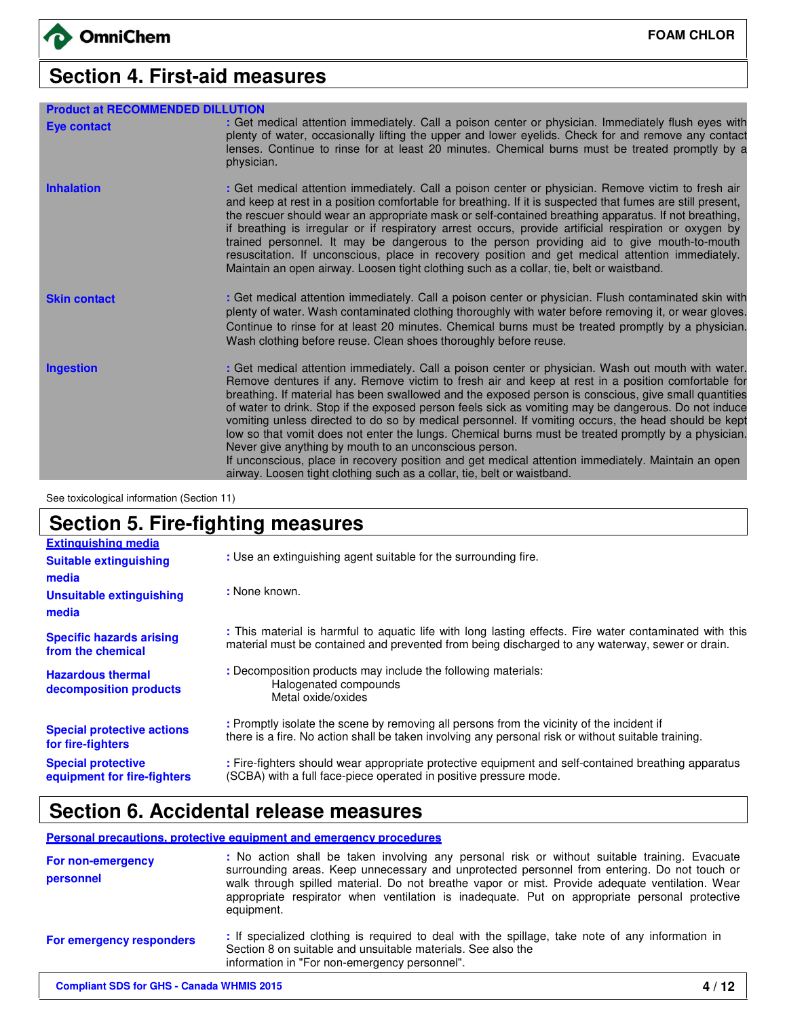# **Section 4. First-aid measures**

| <b>Product at RECOMMENDED DILLUTION</b> |                                                                                                                                                                                                                                                                                                                                                                                                                                                                                                                                                                                                                                                                                                                                                                                                                                                                                  |
|-----------------------------------------|----------------------------------------------------------------------------------------------------------------------------------------------------------------------------------------------------------------------------------------------------------------------------------------------------------------------------------------------------------------------------------------------------------------------------------------------------------------------------------------------------------------------------------------------------------------------------------------------------------------------------------------------------------------------------------------------------------------------------------------------------------------------------------------------------------------------------------------------------------------------------------|
| <b>Eye contact</b>                      | : Get medical attention immediately. Call a poison center or physician. Immediately flush eyes with<br>plenty of water, occasionally lifting the upper and lower eyelids. Check for and remove any contact<br>lenses. Continue to rinse for at least 20 minutes. Chemical burns must be treated promptly by a<br>physician.                                                                                                                                                                                                                                                                                                                                                                                                                                                                                                                                                      |
| <b>Inhalation</b>                       | : Get medical attention immediately. Call a poison center or physician. Remove victim to fresh air<br>and keep at rest in a position comfortable for breathing. If it is suspected that fumes are still present,<br>the rescuer should wear an appropriate mask or self-contained breathing apparatus. If not breathing,<br>if breathing is irregular or if respiratory arrest occurs, provide artificial respiration or oxygen by<br>trained personnel. It may be dangerous to the person providing aid to give mouth-to-mouth<br>resuscitation. If unconscious, place in recovery position and get medical attention immediately.<br>Maintain an open airway. Loosen tight clothing such as a collar, tie, belt or waistband.                                                                                                                                                  |
| <b>Skin contact</b>                     | : Get medical attention immediately. Call a poison center or physician. Flush contaminated skin with<br>plenty of water. Wash contaminated clothing thoroughly with water before removing it, or wear gloves.<br>Continue to rinse for at least 20 minutes. Chemical burns must be treated promptly by a physician.<br>Wash clothing before reuse. Clean shoes thoroughly before reuse.                                                                                                                                                                                                                                                                                                                                                                                                                                                                                          |
| <b>Ingestion</b>                        | : Get medical attention immediately. Call a poison center or physician. Wash out mouth with water.<br>Remove dentures if any. Remove victim to fresh air and keep at rest in a position comfortable for<br>breathing. If material has been swallowed and the exposed person is conscious, give small quantities<br>of water to drink. Stop if the exposed person feels sick as vomiting may be dangerous. Do not induce<br>vomiting unless directed to do so by medical personnel. If vomiting occurs, the head should be kept<br>low so that vomit does not enter the lungs. Chemical burns must be treated promptly by a physician.<br>Never give anything by mouth to an unconscious person.<br>If unconscious, place in recovery position and get medical attention immediately. Maintain an open<br>airway. Loosen tight clothing such as a collar, tie, belt or waistband. |

See toxicological information (Section 11)

# **Section 5. Fire-fighting measures**

| <b>Extinguishing media</b>                               |                                                                                                                                                                                                            |
|----------------------------------------------------------|------------------------------------------------------------------------------------------------------------------------------------------------------------------------------------------------------------|
| <b>Suitable extinguishing</b>                            | : Use an extinguishing agent suitable for the surrounding fire.                                                                                                                                            |
| media                                                    |                                                                                                                                                                                                            |
| <b>Unsuitable extinguishing</b>                          | : None known.                                                                                                                                                                                              |
| media                                                    |                                                                                                                                                                                                            |
| <b>Specific hazards arising</b><br>from the chemical     | : This material is harmful to aquatic life with long lasting effects. Fire water contaminated with this<br>material must be contained and prevented from being discharged to any waterway, sewer or drain. |
| <b>Hazardous thermal</b><br>decomposition products       | : Decomposition products may include the following materials:<br>Halogenated compounds<br>Metal oxide/oxides                                                                                               |
| <b>Special protective actions</b><br>for fire-fighters   | : Promptly isolate the scene by removing all persons from the vicinity of the incident if<br>there is a fire. No action shall be taken involving any personal risk or without suitable training.           |
| <b>Special protective</b><br>equipment for fire-fighters | : Fire-fighters should wear appropriate protective equipment and self-contained breathing apparatus<br>(SCBA) with a full face-piece operated in positive pressure mode.                                   |

### **Section 6. Accidental release measures**

### **Personal precautions, protective equipment and emergency procedures**

| For non-emergency<br>personnel  | : No action shall be taken involving any personal risk or without suitable training. Evacuate<br>surrounding areas. Keep unnecessary and unprotected personnel from entering. Do not touch or<br>walk through spilled material. Do not breathe vapor or mist. Provide adequate ventilation. Wear<br>appropriate respirator when ventilation is inadequate. Put on appropriate personal protective<br>equipment. |
|---------------------------------|-----------------------------------------------------------------------------------------------------------------------------------------------------------------------------------------------------------------------------------------------------------------------------------------------------------------------------------------------------------------------------------------------------------------|
| <b>For emergency responders</b> | : If specialized clothing is required to deal with the spillage, take note of any information in<br>Section 8 on suitable and unsuitable materials. See also the<br>information in "For non-emergency personnel".                                                                                                                                                                                               |
|                                 |                                                                                                                                                                                                                                                                                                                                                                                                                 |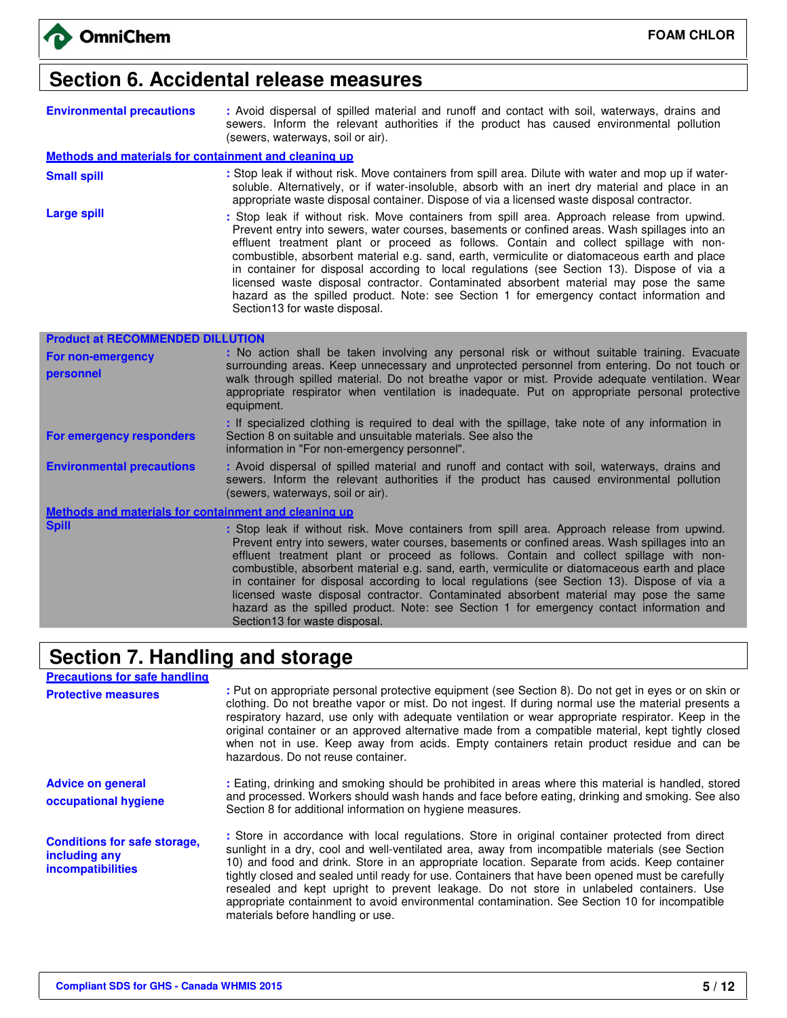### **Section 6. Accidental release measures**

| <b>Environmental precautions</b> |                                   |  |  |  | : Avoid dispersal of spilled material and runoff and contact with soil, waterways, drains and |  |
|----------------------------------|-----------------------------------|--|--|--|-----------------------------------------------------------------------------------------------|--|
|                                  | (sewers, waterways, soil or air). |  |  |  | sewers. Inform the relevant authorities if the product has caused environmental pollution     |  |

#### **Methods and materials for containment and cleaning up**

- **Small spill Stop leak if without risk.** Move containers from spill area. Dilute with water and mop up if watersoluble. Alternatively, or if water-insoluble, absorb with an inert dry material and place in an appropriate waste disposal container. Dispose of via a licensed waste disposal contractor.
- Large spill **Large spill interest and the Stop leak** if without risk. Move containers from spill area. Approach release from upwind. Prevent entry into sewers, water courses, basements or confined areas. Wash spillages into an effluent treatment plant or proceed as follows. Contain and collect spillage with noncombustible, absorbent material e.g. sand, earth, vermiculite or diatomaceous earth and place in container for disposal according to local regulations (see Section 13). Dispose of via a licensed waste disposal contractor. Contaminated absorbent material may pose the same hazard as the spilled product. Note: see Section 1 for emergency contact information and Section13 for waste disposal.

| <b>Product at RECOMMENDED DILLUTION</b>               |                                                                                                                                                                                                                                                                                                                                                                                                                                                                                                                                                                                 |  |  |  |  |  |  |
|-------------------------------------------------------|---------------------------------------------------------------------------------------------------------------------------------------------------------------------------------------------------------------------------------------------------------------------------------------------------------------------------------------------------------------------------------------------------------------------------------------------------------------------------------------------------------------------------------------------------------------------------------|--|--|--|--|--|--|
| <b>For non-emergency</b>                              | : No action shall be taken involving any personal risk or without suitable training. Evacuate                                                                                                                                                                                                                                                                                                                                                                                                                                                                                   |  |  |  |  |  |  |
| personnel                                             | surrounding areas. Keep unnecessary and unprotected personnel from entering. Do not touch or<br>walk through spilled material. Do not breathe vapor or mist. Provide adequate ventilation. Wear<br>appropriate respirator when ventilation is inadequate. Put on appropriate personal protective<br>equipment.                                                                                                                                                                                                                                                                  |  |  |  |  |  |  |
| For emergency responders                              | : If specialized clothing is required to deal with the spillage, take note of any information in<br>Section 8 on suitable and unsuitable materials. See also the<br>information in "For non-emergency personnel".                                                                                                                                                                                                                                                                                                                                                               |  |  |  |  |  |  |
| <b>Environmental precautions</b>                      | : Avoid dispersal of spilled material and runoff and contact with soil, waterways, drains and<br>sewers. Inform the relevant authorities if the product has caused environmental pollution<br>(sewers, waterways, soil or air).                                                                                                                                                                                                                                                                                                                                                 |  |  |  |  |  |  |
| Methods and materials for containment and cleaning up |                                                                                                                                                                                                                                                                                                                                                                                                                                                                                                                                                                                 |  |  |  |  |  |  |
| <b>Spill</b>                                          | : Stop leak if without risk. Move containers from spill area. Approach release from upwind.<br>Prevent entry into sewers, water courses, basements or confined areas. Wash spillages into an<br>effluent treatment plant or proceed as follows. Contain and collect spillage with non-<br>combustible, absorbent material e.g. sand, earth, vermiculite or diatomaceous earth and place<br>in container for disposal according to local regulations (see Section 13). Dispose of via a<br>licensed waste disposal contractor. Contaminated absorbent material may pose the same |  |  |  |  |  |  |

hazard as the spilled product. Note: see Section 1 for emergency contact information and

### **Section 7. Handling and storage**

Section13 for waste disposal.

| <b>Precautions for safe handling</b>                                      |                                                                                                                                                                                                                                                                                                                                                                                                                                                                                                                                                                                                                                           |
|---------------------------------------------------------------------------|-------------------------------------------------------------------------------------------------------------------------------------------------------------------------------------------------------------------------------------------------------------------------------------------------------------------------------------------------------------------------------------------------------------------------------------------------------------------------------------------------------------------------------------------------------------------------------------------------------------------------------------------|
| <b>Protective measures</b>                                                | : Put on appropriate personal protective equipment (see Section 8). Do not get in eyes or on skin or<br>clothing. Do not breathe vapor or mist. Do not ingest. If during normal use the material presents a<br>respiratory hazard, use only with adequate ventilation or wear appropriate respirator. Keep in the<br>original container or an approved alternative made from a compatible material, kept tightly closed<br>when not in use. Keep away from acids. Empty containers retain product residue and can be<br>hazardous. Do not reuse container.                                                                                |
| <b>Advice on general</b><br>occupational hygiene                          | : Eating, drinking and smoking should be prohibited in areas where this material is handled, stored<br>and processed. Workers should wash hands and face before eating, drinking and smoking. See also<br>Section 8 for additional information on hygiene measures.                                                                                                                                                                                                                                                                                                                                                                       |
| <b>Conditions for safe storage,</b><br>including any<br>incompatibilities | : Store in accordance with local regulations. Store in original container protected from direct<br>sunlight in a dry, cool and well-ventilated area, away from incompatible materials (see Section<br>10) and food and drink. Store in an appropriate location. Separate from acids. Keep container<br>tightly closed and sealed until ready for use. Containers that have been opened must be carefully<br>resealed and kept upright to prevent leakage. Do not store in unlabeled containers. Use<br>appropriate containment to avoid environmental contamination. See Section 10 for incompatible<br>materials before handling or use. |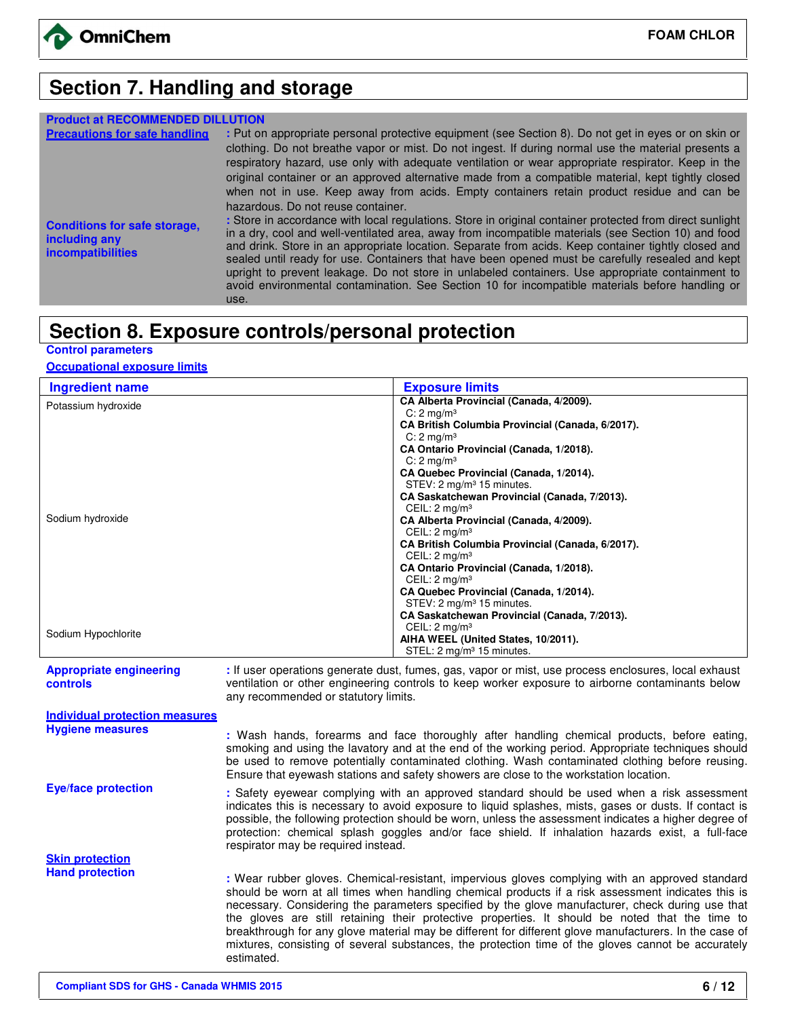

# **Section 7. Handling and storage**

| <b>Product at RECOMMENDED</b>                                                    |                                                                                                                                                                                                                                                                                                                                                                                                                                                                                                                                                                                                                                           |
|----------------------------------------------------------------------------------|-------------------------------------------------------------------------------------------------------------------------------------------------------------------------------------------------------------------------------------------------------------------------------------------------------------------------------------------------------------------------------------------------------------------------------------------------------------------------------------------------------------------------------------------------------------------------------------------------------------------------------------------|
| <b>Precautions for safe handling</b>                                             | : Put on appropriate personal protective equipment (see Section 8). Do not get in eyes or on skin or<br>clothing. Do not breathe vapor or mist. Do not ingest. If during normal use the material presents a<br>respiratory hazard, use only with adequate ventilation or wear appropriate respirator. Keep in the<br>original container or an approved alternative made from a compatible material, kept tightly closed<br>when not in use. Keep away from acids. Empty containers retain product residue and can be<br>hazardous. Do not reuse container.                                                                                |
| <b>Conditions for safe storage,</b><br>including any<br><i>incompatibilities</i> | : Store in accordance with local regulations. Store in original container protected from direct sunlight<br>in a dry, cool and well-ventilated area, away from incompatible materials (see Section 10) and food<br>and drink. Store in an appropriate location. Separate from acids. Keep container tightly closed and<br>sealed until ready for use. Containers that have been opened must be carefully resealed and kept<br>upright to prevent leakage. Do not store in unlabeled containers. Use appropriate containment to<br>avoid environmental contamination. See Section 10 for incompatible materials before handling or<br>use. |

### **Section 8. Exposure controls/personal protection**

### **Control parameters**

### **Occupational exposure limits**

| <b>Ingredient name</b> | <b>Exposure limits</b>                           |
|------------------------|--------------------------------------------------|
| Potassium hydroxide    | CA Alberta Provincial (Canada, 4/2009).          |
|                        | C: $2 \text{ mg/m}^3$                            |
|                        | CA British Columbia Provincial (Canada, 6/2017). |
|                        | $C: 2$ mg/m <sup>3</sup>                         |
|                        | CA Ontario Provincial (Canada, 1/2018).          |
|                        | $C: 2$ mg/m <sup>3</sup>                         |
|                        | CA Quebec Provincial (Canada, 1/2014).           |
|                        | STEV: 2 mg/m <sup>3</sup> 15 minutes.            |
|                        | CA Saskatchewan Provincial (Canada, 7/2013).     |
|                        | CEIL: $2 \text{ mq/m}^3$                         |
| Sodium hydroxide       | CA Alberta Provincial (Canada, 4/2009).          |
|                        | CEIL: $2 \text{ mq/m}^3$                         |
|                        | CA British Columbia Provincial (Canada, 6/2017). |
|                        | CEIL: $2 \text{ mq/m}^3$                         |
|                        | CA Ontario Provincial (Canada, 1/2018).          |
|                        | CEIL: $2 \text{ mq/m}^3$                         |
|                        | CA Quebec Provincial (Canada, 1/2014).           |
|                        | STEV: 2 mg/m <sup>3</sup> 15 minutes.            |
|                        | CA Saskatchewan Provincial (Canada, 7/2013).     |
|                        | CEIL: $2 \text{ mq/m}^3$                         |
| Sodium Hypochlorite    | AIHA WEEL (United States, 10/2011).              |
|                        | STEL: 2 mg/m <sup>3</sup> 15 minutes.            |

#### **Appropriate engineering controls**

**:** If user operations generate dust, fumes, gas, vapor or mist, use process enclosures, local exhaust ventilation or other engineering controls to keep worker exposure to airborne contaminants below any recommended or statutory limits.

| Individual protection measures |                                                                                                                                                                                                                                                                                                                                                                                                                                                                                                                                                                                                                                            |
|--------------------------------|--------------------------------------------------------------------------------------------------------------------------------------------------------------------------------------------------------------------------------------------------------------------------------------------------------------------------------------------------------------------------------------------------------------------------------------------------------------------------------------------------------------------------------------------------------------------------------------------------------------------------------------------|
| <b>Hygiene measures</b>        | : Wash hands, forearms and face thoroughly after handling chemical products, before eating,<br>smoking and using the lavatory and at the end of the working period. Appropriate techniques should<br>be used to remove potentially contaminated clothing. Wash contaminated clothing before reusing.<br>Ensure that eyewash stations and safety showers are close to the workstation location.                                                                                                                                                                                                                                             |
| <b>Eye/face protection</b>     | : Safety eyewear complying with an approved standard should be used when a risk assessment<br>indicates this is necessary to avoid exposure to liquid splashes, mists, gases or dusts. If contact is<br>possible, the following protection should be worn, unless the assessment indicates a higher degree of<br>protection: chemical splash goggles and/or face shield. If inhalation hazards exist, a full-face<br>respirator may be required instead.                                                                                                                                                                                   |
| <b>Skin protection</b>         |                                                                                                                                                                                                                                                                                                                                                                                                                                                                                                                                                                                                                                            |
| <b>Hand protection</b>         | : Wear rubber gloves. Chemical-resistant, impervious gloves complying with an approved standard<br>should be worn at all times when handling chemical products if a risk assessment indicates this is<br>necessary. Considering the parameters specified by the glove manufacturer, check during use that<br>the gloves are still retaining their protective properties. It should be noted that the time to<br>breakthrough for any glove material may be different for different glove manufacturers. In the case of<br>mixtures, consisting of several substances, the protection time of the gloves cannot be accurately<br>estimated. |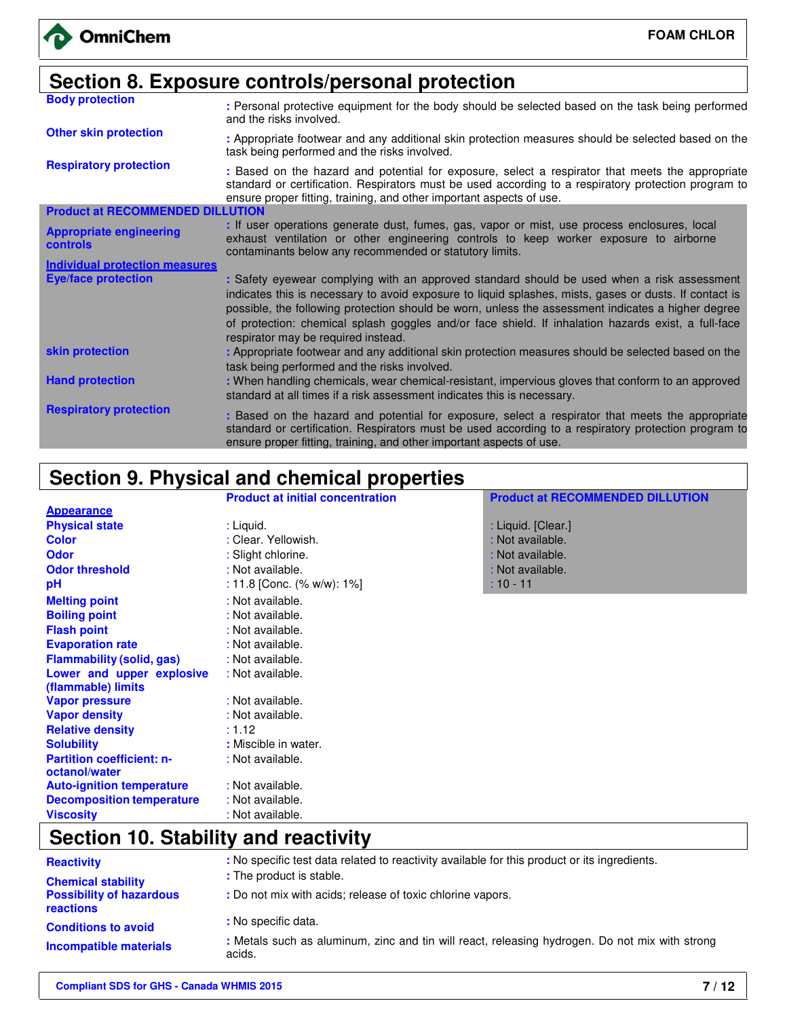| Section 8. Exposure controls/personal protection |                                                                                                                                                                                                                                                                                                                                                                                                                                                          |  |  |
|--------------------------------------------------|----------------------------------------------------------------------------------------------------------------------------------------------------------------------------------------------------------------------------------------------------------------------------------------------------------------------------------------------------------------------------------------------------------------------------------------------------------|--|--|
| <b>Body protection</b>                           | : Personal protective equipment for the body should be selected based on the task being performed<br>and the risks involved.                                                                                                                                                                                                                                                                                                                             |  |  |
| <b>Other skin protection</b>                     | : Appropriate footwear and any additional skin protection measures should be selected based on the<br>task being performed and the risks involved.                                                                                                                                                                                                                                                                                                       |  |  |
| <b>Respiratory protection</b>                    | : Based on the hazard and potential for exposure, select a respirator that meets the appropriate<br>standard or certification. Respirators must be used according to a respiratory protection program to<br>ensure proper fitting, training, and other important aspects of use.                                                                                                                                                                         |  |  |
| <b>Product at RECOMMENDED DILLUTION</b>          |                                                                                                                                                                                                                                                                                                                                                                                                                                                          |  |  |
| <b>Appropriate engineering</b><br>controls       | : If user operations generate dust, fumes, gas, vapor or mist, use process enclosures, local<br>exhaust ventilation or other engineering controls to keep worker exposure to airborne<br>contaminants below any recommended or statutory limits.                                                                                                                                                                                                         |  |  |
| <b>Individual protection measures</b>            |                                                                                                                                                                                                                                                                                                                                                                                                                                                          |  |  |
| <b>Eye/face protection</b>                       | : Safety eyewear complying with an approved standard should be used when a risk assessment<br>indicates this is necessary to avoid exposure to liquid splashes, mists, gases or dusts. If contact is<br>possible, the following protection should be worn, unless the assessment indicates a higher degree<br>of protection: chemical splash goggles and/or face shield. If inhalation hazards exist, a full-face<br>respirator may be required instead. |  |  |
| skin protection                                  | : Appropriate footwear and any additional skin protection measures should be selected based on the<br>task being performed and the risks involved.                                                                                                                                                                                                                                                                                                       |  |  |
| <b>Hand protection</b>                           | : When handling chemicals, wear chemical-resistant, impervious gloves that conform to an approved<br>standard at all times if a risk assessment indicates this is necessary.                                                                                                                                                                                                                                                                             |  |  |
| <b>Respiratory protection</b>                    | : Based on the hazard and potential for exposure, select a respirator that meets the appropriate<br>standard or certification. Respirators must be used according to a respiratory protection program to<br>ensure proper fitting, training, and other important aspects of use.                                                                                                                                                                         |  |  |

# **Section 9. Physical and chemical properties**

|                                  | <b>Product at initial concentration</b> | <b>Product at RECOMMENDED DILLUTION</b> |
|----------------------------------|-----------------------------------------|-----------------------------------------|
| <b>Appearance</b>                |                                         |                                         |
| <b>Physical state</b>            | : Liquid.                               | : Liquid. [Clear.]                      |
| <b>Color</b>                     | : Clear. Yellowish.                     | : Not available.                        |
| <b>Odor</b>                      | : Slight chlorine.                      | : Not available.                        |
| <b>Odor threshold</b>            | : Not available.                        | : Not available.                        |
| рH                               | : 11.8 [Conc. (% w/w): $1\%$ ]          | $: 10 - 11$                             |
| <b>Melting point</b>             | : Not available.                        |                                         |
| <b>Boiling point</b>             | : Not available.                        |                                         |
| <b>Flash point</b>               | : Not available.                        |                                         |
| <b>Evaporation rate</b>          | : Not available.                        |                                         |
| <b>Flammability (solid, gas)</b> | : Not available.                        |                                         |
| Lower and upper explosive        | : Not available.                        |                                         |
| (flammable) limits               |                                         |                                         |
| <b>Vapor pressure</b>            | : Not available.                        |                                         |
| <b>Vapor density</b>             | : Not available.                        |                                         |
| <b>Relative density</b>          | : 1.12                                  |                                         |
| <b>Solubility</b>                | : Miscible in water.                    |                                         |
| <b>Partition coefficient: n-</b> | : Not available.                        |                                         |
| octanol/water                    |                                         |                                         |
| <b>Auto-ignition temperature</b> | : Not available.                        |                                         |
| <b>Decomposition temperature</b> | : Not available.                        |                                         |
| <b>Viscosity</b>                 | : Not available.                        |                                         |

# **Section 10. Stability and reactivity**

| <b>Reactivity</b>                            | : No specific test data related to reactivity available for this product or its ingredients.             |  |  |
|----------------------------------------------|----------------------------------------------------------------------------------------------------------|--|--|
| <b>Chemical stability</b>                    | : The product is stable.                                                                                 |  |  |
| <b>Possibility of hazardous</b><br>reactions | : Do not mix with acids; release of toxic chlorine vapors.                                               |  |  |
| <b>Conditions to avoid</b>                   | : No specific data.                                                                                      |  |  |
| Incompatible materials                       | : Metals such as aluminum, zinc and tin will react, releasing hydrogen. Do not mix with strong<br>acids. |  |  |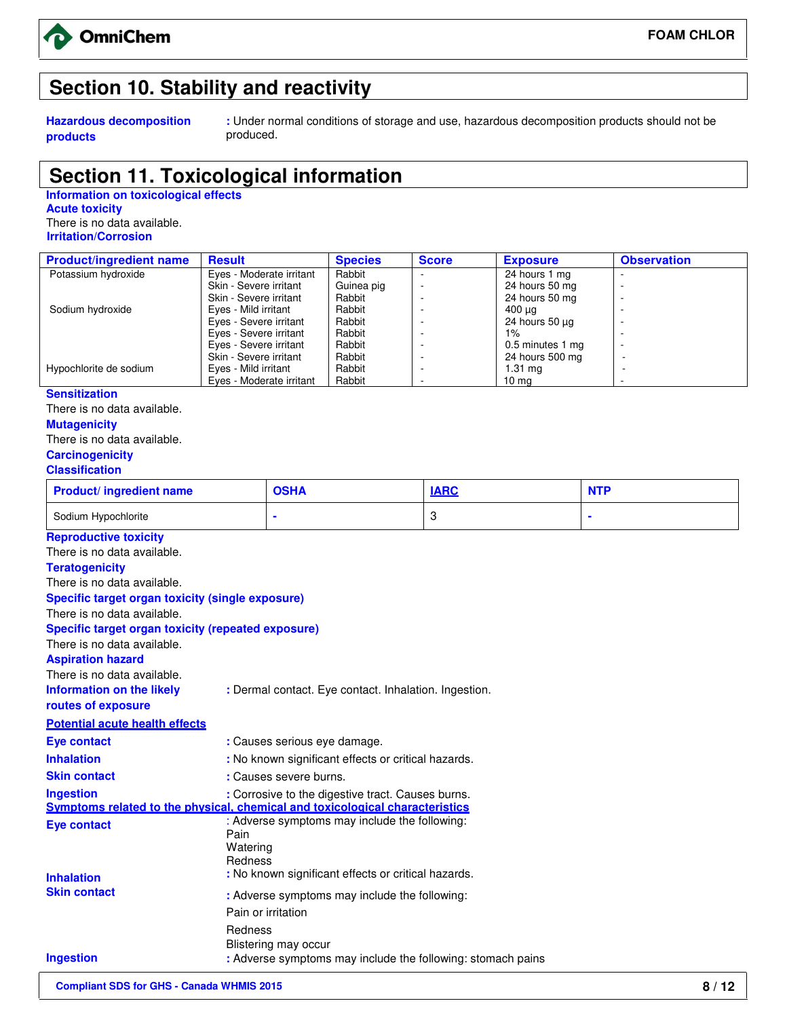

# **Section 10. Stability and reactivity**

**Hazardous decomposition products**

**:** Under normal conditions of storage and use, hazardous decomposition products should not be produced.

### **Section 11. Toxicological information**

**Information on toxicological effects Acute toxicity** There is no data available.  **Irritation/Corrosion** 

| <b>Product/ingredient name</b> | <b>Result</b>            | <b>Species</b> | <b>Score</b>             | <b>Exposure</b>   | <b>Observation</b>       |
|--------------------------------|--------------------------|----------------|--------------------------|-------------------|--------------------------|
| Potassium hydroxide            | Eyes - Moderate irritant | Rabbit         |                          | 24 hours 1 mg     |                          |
|                                | Skin - Severe irritant   | Guinea pig     |                          | 24 hours 50 mg    | ۰                        |
|                                | Skin - Severe irritant   | Rabbit         |                          | 24 hours 50 mg    |                          |
| Sodium hydroxide               | Eyes - Mild irritant     | Rabbit         | $\overline{\phantom{a}}$ | 400 μg            |                          |
|                                | Eyes - Severe irritant   | Rabbit         |                          | 24 hours 50 µg    |                          |
|                                | Eyes - Severe irritant   | Rabbit         |                          | $1\%$             |                          |
|                                | Eyes - Severe irritant   | Rabbit         |                          | 0.5 minutes 1 mg  | ۰                        |
|                                | Skin - Severe irritant   | Rabbit         | $\overline{\phantom{a}}$ | 24 hours 500 mg   | $\overline{\phantom{a}}$ |
| Hypochlorite de sodium         | Eyes - Mild irritant     | Rabbit         |                          | $1.31 \text{ ma}$ |                          |
|                                | Eyes - Moderate irritant | Rabbit         | $\overline{\phantom{a}}$ | $10 \text{ mg}$   |                          |
| <b>Sensitization</b>           |                          |                |                          |                   |                          |
| There is no data available.    |                          |                |                          |                   |                          |

**Mutagenicity** 

There is no data available.

**Carcinogenicity**

#### **Classification**

| <b>Product/ingredient name</b> | <b>OSHA</b> | <b>IARC</b> | <b>NTP</b> |
|--------------------------------|-------------|-------------|------------|
| Sodium Hypochlorite            |             |             |            |

| <b>Reproductive toxicity</b>                            |                                                                              |
|---------------------------------------------------------|------------------------------------------------------------------------------|
| There is no data available.                             |                                                                              |
| <b>Teratogenicity</b>                                   |                                                                              |
| There is no data available.                             |                                                                              |
| <b>Specific target organ toxicity (single exposure)</b> |                                                                              |
| There is no data available.                             |                                                                              |
| Specific target organ toxicity (repeated exposure)      |                                                                              |
| There is no data available.                             |                                                                              |
| <b>Aspiration hazard</b>                                |                                                                              |
| There is no data available.                             |                                                                              |
| Information on the likely                               | : Dermal contact. Eye contact. Inhalation. Ingestion.                        |
| routes of exposure                                      |                                                                              |
| <b>Potential acute health effects</b>                   |                                                                              |
| <b>Eye contact</b>                                      | : Causes serious eye damage.                                                 |
| <b>Inhalation</b>                                       | : No known significant effects or critical hazards.                          |
| <b>Skin contact</b>                                     | : Causes severe burns.                                                       |
| <b>Ingestion</b>                                        | : Corrosive to the digestive tract. Causes burns.                            |
|                                                         | Symptoms related to the physical, chemical and toxicological characteristics |
| <b>Eye contact</b>                                      | : Adverse symptoms may include the following:<br>Pain                        |
|                                                         | Watering                                                                     |
|                                                         | Redness                                                                      |
| <b>Inhalation</b>                                       | : No known significant effects or critical hazards.                          |
| <b>Skin contact</b>                                     | : Adverse symptoms may include the following:                                |
|                                                         | Pain or irritation                                                           |
|                                                         | Redness                                                                      |
|                                                         | Blistering may occur                                                         |
| <b>Ingestion</b>                                        | : Adverse symptoms may include the following: stomach pains                  |
|                                                         |                                                                              |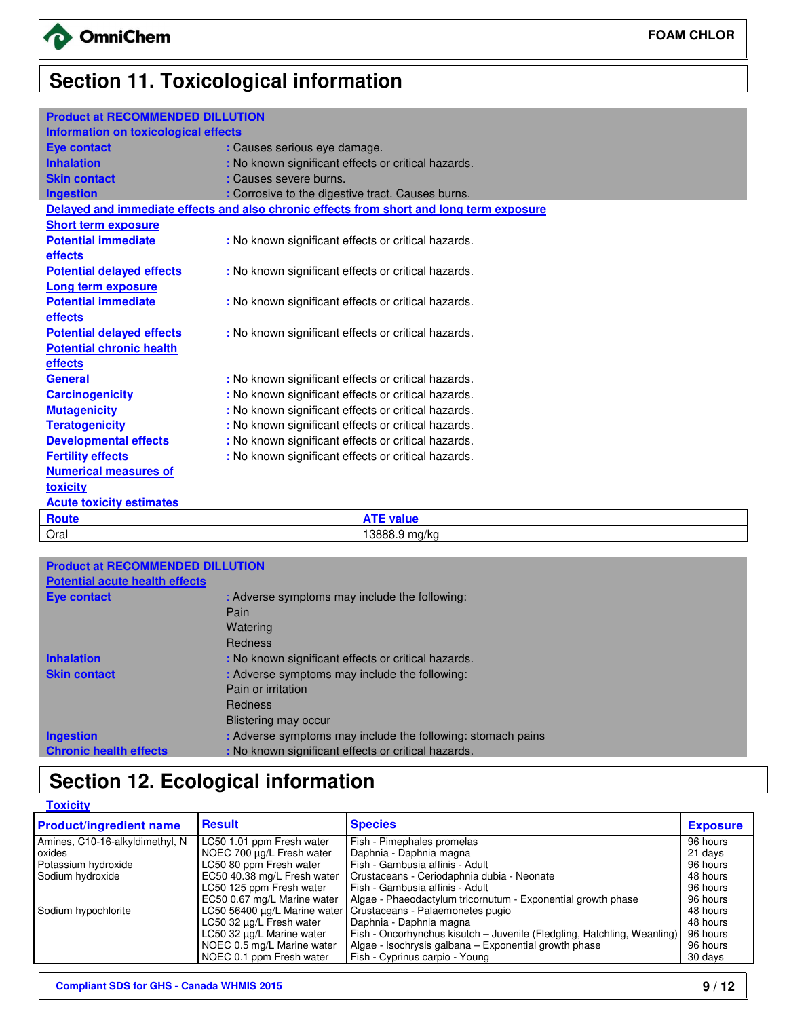# **Section 11. Toxicological information**

### **Product at RECOMMENDED DILLUTION**

| I TOGOOL GETTEOOMINIERDED DIEEO HON  |                                                     |                                                                                          |
|--------------------------------------|-----------------------------------------------------|------------------------------------------------------------------------------------------|
| Information on toxicological effects |                                                     |                                                                                          |
| <b>Eye contact</b>                   | : Causes serious eye damage.                        |                                                                                          |
| <b>Inhalation</b>                    | : No known significant effects or critical hazards. |                                                                                          |
| <b>Skin contact</b>                  | : Causes severe burns.                              |                                                                                          |
| <b>Ingestion</b>                     | : Corrosive to the digestive tract. Causes burns.   |                                                                                          |
|                                      |                                                     | Delayed and immediate effects and also chronic effects from short and long term exposure |
| <b>Short term exposure</b>           |                                                     |                                                                                          |
| <b>Potential immediate</b>           | : No known significant effects or critical hazards. |                                                                                          |
| <b>effects</b>                       |                                                     |                                                                                          |
| <b>Potential delayed effects</b>     | : No known significant effects or critical hazards. |                                                                                          |
| <b>Long term exposure</b>            |                                                     |                                                                                          |
| <b>Potential immediate</b>           | : No known significant effects or critical hazards. |                                                                                          |
| <b>effects</b>                       |                                                     |                                                                                          |
| <b>Potential delayed effects</b>     | : No known significant effects or critical hazards. |                                                                                          |
| <b>Potential chronic health</b>      |                                                     |                                                                                          |
| effects                              |                                                     |                                                                                          |
| <b>General</b>                       | : No known significant effects or critical hazards. |                                                                                          |
| <b>Carcinogenicity</b>               | : No known significant effects or critical hazards. |                                                                                          |
| <b>Mutagenicity</b>                  | : No known significant effects or critical hazards. |                                                                                          |
| <b>Teratogenicity</b>                | : No known significant effects or critical hazards. |                                                                                          |
| <b>Developmental effects</b>         | : No known significant effects or critical hazards. |                                                                                          |
| <b>Fertility effects</b>             | : No known significant effects or critical hazards. |                                                                                          |
| <b>Numerical measures of</b>         |                                                     |                                                                                          |
| toxicity                             |                                                     |                                                                                          |
| <b>Acute toxicity estimates</b>      |                                                     |                                                                                          |
| <b>Route</b>                         |                                                     | <b>ATE value</b>                                                                         |
| Oral                                 |                                                     | 13888.9 mg/kg                                                                            |
|                                      |                                                     |                                                                                          |

| <b>Product at RECOMMENDED DILLU</b>   |                                                             |
|---------------------------------------|-------------------------------------------------------------|
| <b>Potential acute health effects</b> |                                                             |
| Eye contact                           | : Adverse symptoms may include the following:               |
|                                       | Pain                                                        |
|                                       | Watering                                                    |
|                                       | Redness                                                     |
| <b>Inhalation</b>                     | : No known significant effects or critical hazards.         |
| <b>Skin contact</b>                   | : Adverse symptoms may include the following:               |
|                                       | Pain or irritation                                          |
|                                       | Redness                                                     |
|                                       | Blistering may occur                                        |
| <b>Ingestion</b>                      | : Adverse symptoms may include the following: stomach pains |
| <b>Chronic health effects</b>         | : No known significant effects or critical hazards.         |

# **Section 12. Ecological information**

| <b>Toxicity</b>                 |                              |                                                                         |                 |
|---------------------------------|------------------------------|-------------------------------------------------------------------------|-----------------|
| <b>Product/ingredient name</b>  | <b>Result</b>                | <b>Species</b>                                                          | <b>Exposure</b> |
| Amines, C10-16-alkyldimethyl, N | LC50 1.01 ppm Fresh water    | Fish - Pimephales promelas                                              | 96 hours        |
| oxides                          | NOEC 700 µg/L Fresh water    | Daphnia - Daphnia magna                                                 | 21 days         |
| Potassium hydroxide             | LC50 80 ppm Fresh water      | Fish - Gambusia affinis - Adult                                         | 96 hours        |
| Sodium hydroxide                | EC50 40.38 mg/L Fresh water  | Crustaceans - Ceriodaphnia dubia - Neonate                              | 48 hours        |
|                                 | LC50 125 ppm Fresh water     | Fish - Gambusia affinis - Adult                                         | 96 hours        |
|                                 | EC50 0.67 mg/L Marine water  | Algae - Phaeodactylum tricornutum - Exponential growth phase            | 96 hours        |
| Sodium hypochlorite             | LC50 56400 µg/L Marine water | Crustaceans - Palaemonetes pugio                                        | 48 hours        |
|                                 | LC50 32 µg/L Fresh water     | Daphnia - Daphnia magna                                                 | 48 hours        |
|                                 | LC50 32 µg/L Marine water    | Fish - Oncorhynchus kisutch - Juvenile (Fledgling, Hatchling, Weanling) | 96 hours        |
|                                 | NOEC 0.5 mg/L Marine water   | Algae - Isochrysis galbana – Exponential growth phase                   | 96 hours        |
|                                 | NOEC 0.1 ppm Fresh water     | Fish - Cyprinus carpio - Young                                          | 30 days         |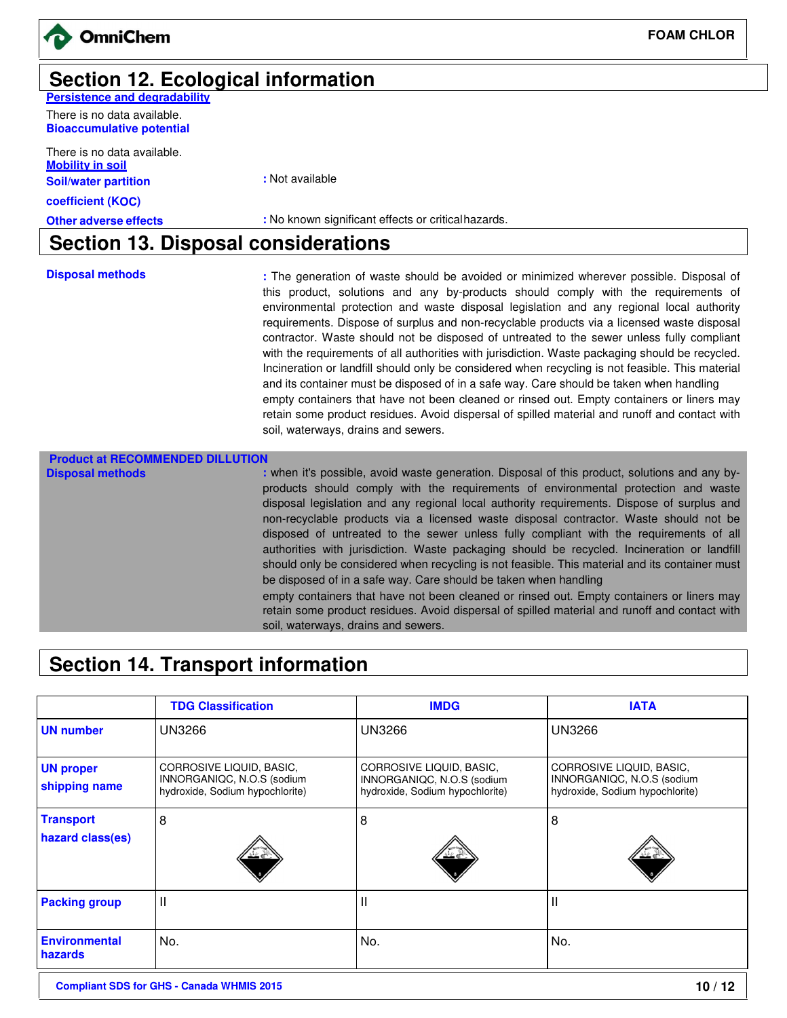

**FOAM CHLOR** 

# **Section 12. Ecological information**

**Persistence and degradability** There is no data available.

**Bioaccumulative potential**

There is no data available. **Mobility in soil Soil/water partition** 

**coefficient (KOC)**

**:** Not available

**Other adverse effects** : No known significant effects or critical hazards.

### **Section 13. Disposal considerations**

**Disposal methods :** The generation of waste should be avoided or minimized wherever possible. Disposal of this product, solutions and any by-products should comply with the requirements of environmental protection and waste disposal legislation and any regional local authority requirements. Dispose of surplus and non-recyclable products via a licensed waste disposal contractor. Waste should not be disposed of untreated to the sewer unless fully compliant with the requirements of all authorities with jurisdiction. Waste packaging should be recycled. Incineration or landfill should only be considered when recycling is not feasible. This material and its container must be disposed of in a safe way. Care should be taken when handling empty containers that have not been cleaned or rinsed out. Empty containers or liners may retain some product residues. Avoid dispersal of spilled material and runoff and contact with soil, waterways, drains and sewers.

| <b>Product at RECOMMENDED</b> |                                                                                                                                                                                                                                                                                                                                                                                                                                                                                                                                                                                                                                                                                                                                                                                                                                                                                                                                         |
|-------------------------------|-----------------------------------------------------------------------------------------------------------------------------------------------------------------------------------------------------------------------------------------------------------------------------------------------------------------------------------------------------------------------------------------------------------------------------------------------------------------------------------------------------------------------------------------------------------------------------------------------------------------------------------------------------------------------------------------------------------------------------------------------------------------------------------------------------------------------------------------------------------------------------------------------------------------------------------------|
| <b>Disposal methods</b>       | : when it's possible, avoid waste generation. Disposal of this product, solutions and any by-<br>products should comply with the requirements of environmental protection and waste<br>disposal legislation and any regional local authority requirements. Dispose of surplus and<br>non-recyclable products via a licensed waste disposal contractor. Waste should not be<br>disposed of untreated to the sewer unless fully compliant with the requirements of all<br>authorities with jurisdiction. Waste packaging should be recycled. Incineration or landfill<br>should only be considered when recycling is not feasible. This material and its container must<br>be disposed of in a safe way. Care should be taken when handling<br>empty containers that have not been cleaned or rinsed out. Empty containers or liners may<br>retain some product residues. Avoid dispersal of spilled material and runoff and contact with |
|                               | soil, waterways, drains and sewers.                                                                                                                                                                                                                                                                                                                                                                                                                                                                                                                                                                                                                                                                                                                                                                                                                                                                                                     |

### **Section 14. Transport information**

|                                   | <b>TDG Classification</b>                                                                 | <b>IMDG</b>                                                                               | <b>IATA</b>                                                                               |
|-----------------------------------|-------------------------------------------------------------------------------------------|-------------------------------------------------------------------------------------------|-------------------------------------------------------------------------------------------|
| <b>UN number</b>                  | <b>UN3266</b>                                                                             | <b>UN3266</b>                                                                             | <b>UN3266</b>                                                                             |
| <b>UN proper</b><br>shipping name | CORROSIVE LIQUID, BASIC,<br>INNORGANIQC, N.O.S (sodium<br>hydroxide, Sodium hypochlorite) | CORROSIVE LIQUID, BASIC,<br>INNORGANIQC, N.O.S (sodium<br>hydroxide, Sodium hypochlorite) | CORROSIVE LIQUID, BASIC,<br>INNORGANIQC, N.O.S (sodium<br>hydroxide, Sodium hypochlorite) |
| <b>Transport</b>                  | 8                                                                                         | 8                                                                                         | 8                                                                                         |
| hazard class(es)                  |                                                                                           |                                                                                           |                                                                                           |
| <b>Packing group</b>              | $\mathsf{I}$                                                                              | Ш                                                                                         | Ш                                                                                         |
| <b>Environmental</b><br>hazards   | No.                                                                                       | No.                                                                                       | No.                                                                                       |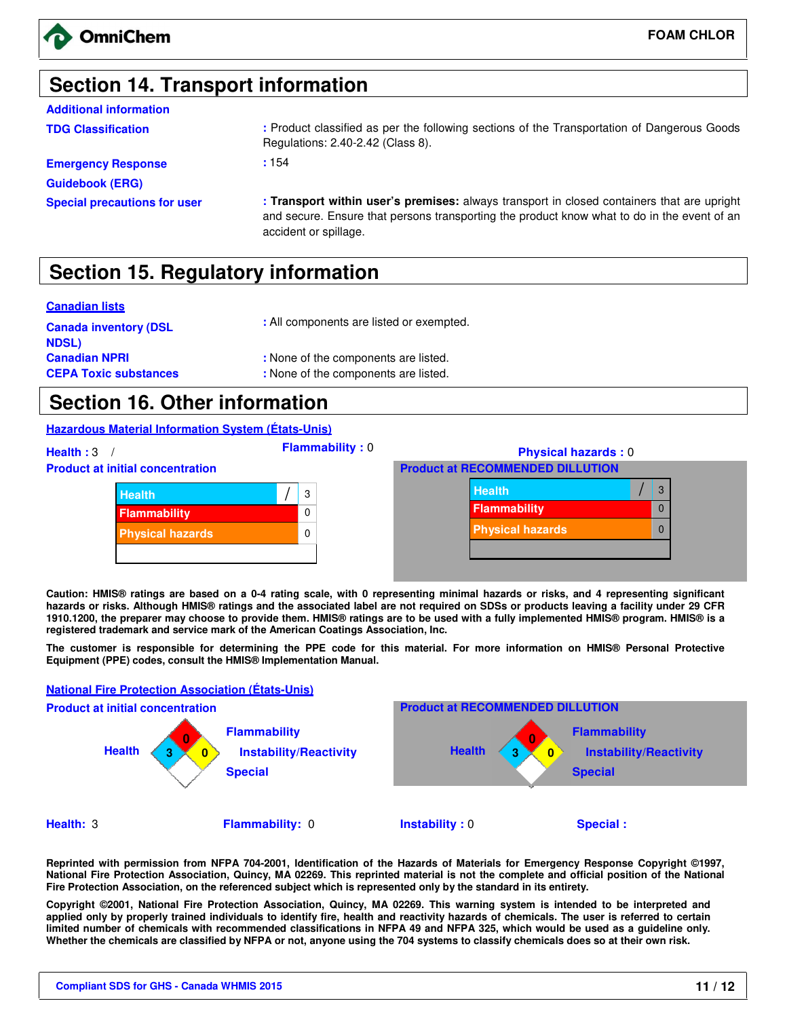# **Section 14. Transport information**

| <b>Additional information</b>       |                                                                                                                                                                                           |
|-------------------------------------|-------------------------------------------------------------------------------------------------------------------------------------------------------------------------------------------|
| <b>TDG Classification</b>           | : Product classified as per the following sections of the Transportation of Dangerous Goods<br>Regulations: 2.40-2.42 (Class 8).                                                          |
| <b>Emergency Response</b>           | :154                                                                                                                                                                                      |
| <b>Guidebook (ERG)</b>              |                                                                                                                                                                                           |
| <b>Special precautions for user</b> | : Transport within user's premises: always transport in closed containers that are upright<br>and secure. Ensure that persons transporting the product know what to do in the event of an |

# **Section 15. Regulatory information**

#### **Canadian lists**

| <b>Canada inventory (DSL</b> | : All components are listed or exempted. |  |
|------------------------------|------------------------------------------|--|
| NDSL)                        |                                          |  |
| <b>Canadian NPRI</b>         | : None of the components are listed.     |  |
| <b>CEPA Toxic substances</b> | : None of the components are listed.     |  |

accident or spillage.

# **Section 16. Other information**

**Hazardous Material Information System (États-Unis)**



**Caution: HMIS® ratings are based on a 0-4 rating scale, with 0 representing minimal hazards or risks, and 4 representing significant hazards or risks. Although HMIS® ratings and the associated label are not required on SDSs or products leaving a facility under 29 CFR 1910.1200, the preparer may choose to provide them. HMIS® ratings are to be used with a fully implemented HMIS® program. HMIS® is a registered trademark and service mark of the American Coatings Association, Inc.** 

**The customer is responsible for determining the PPE code for this material. For more information on HMIS® Personal Protective Equipment (PPE) codes, consult the HMIS® Implementation Manual.**

#### **National Fire Protection Association (États-Unis)**



**Reprinted with permission from NFPA 704-2001, Identification of the Hazards of Materials for Emergency Response Copyright ©1997, National Fire Protection Association, Quincy, MA 02269. This reprinted material is not the complete and official position of the National Fire Protection Association, on the referenced subject which is represented only by the standard in its entirety.** 

**Copyright ©2001, National Fire Protection Association, Quincy, MA 02269. This warning system is intended to be interpreted and applied only by properly trained individuals to identify fire, health and reactivity hazards of chemicals. The user is referred to certain limited number of chemicals with recommended classifications in NFPA 49 and NFPA 325, which would be used as a guideline only. Whether the chemicals are classified by NFPA or not, anyone using the 704 systems to classify chemicals does so at their own risk.**